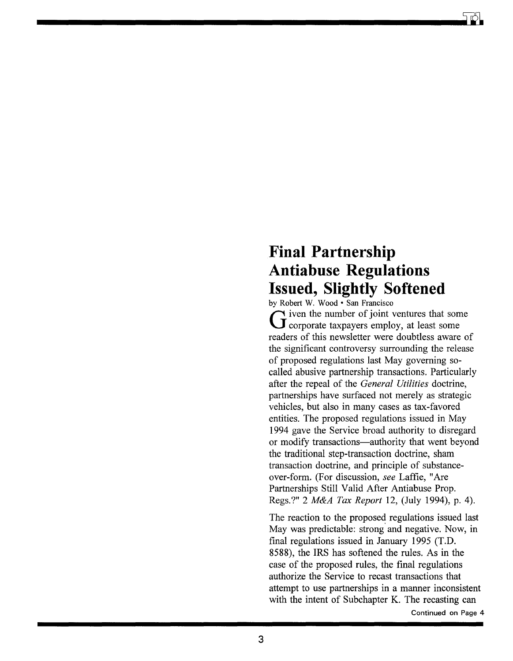# **Final Partnership Antiabuse Regulations Issued, Slightly Softened**

by Robert W. Wood  $\cdot$  San Francisco<br>  $\bigcap$  iven the number of joint ventures that some G iven the number of joint ventures that some<br>
G corporate taxpayers employ, at least some readers of this newsletter were doubtless aware of the significant controversy surrounding the release of proposed regulations last May governing socalled abusive partnership transactions. Particularly after the repeal of the *General Utilities* doctrine, partnerships have surfaced not merely as strategic vehicles, but also in many cases as tax-favored entities. The proposed regulations issued in May 1994 gave the Service broad authority to disregard or modify transactions-authority that went beyond the traditional step-transaction doctrine, sham transaction dootrine, and principle of substanceover-form. (For discussion, *see* Laffie, "Are Partnerships Still Valid After Antiabuse Prop. Regs.?" 2 *M&A Tax Report* 12, (July 1994), p. 4).

The reaction to the proposed regulations issued last May was predictable: strong and negative. Now, in final regulations issued in January 1995 (T.D. 8588), the IRS has softened the rules. As in the case of the proposed rules, the final regulations authorize the Service to recast transactions that attempt to use partnerships in a manner inconsistent with the intent of Subchapter K. The recasting can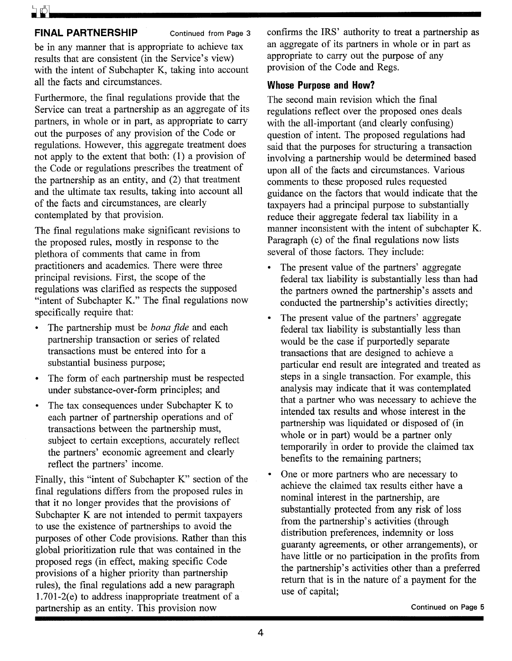### **FINAL PARTNERSHIP** Continued from Page 3

be in any manner that is appropriate to achieve tax results that are consistent (in the Service's view) with the intent of Subchapter K, taking into account all the facts and circumstances.

Furthermore, the final regulations provide that the Service can treat a partnership as an aggregate of its partners, in whole or in part, as appropriate to carry out the purposes of any provision of the Code or regulations. However, this aggregate treatment does not apply to the extent that both: (1) a provision of the Code or regulations prescribes the treatment of the partnership as an entity, and (2) that treatment and the ultimate tax results, taking into account all of the facts and circumstances, are clearly contemplated by that provision.

The final regulations make significant revisions to the proposed rules, mostly in response to the plethora of comments that came in from practitioners and academics. There were three principal revisions. First, the scope of the regulations was clarified as respects the supposed "intent of Subchapter K." The final regulations now specifically require that:

- The partnership must be *bona fide* and each partnership transaction or series of related transactions must be entered into for a substantial business purpose;
- The form of each partnership must be respected under substance-over-form principles; and
- The tax consequences under Subchapter K to each partner of partnership operations and of transactions between the partnership must, subject to certain exceptions, accurately reflect the partners' economic agreement and clearly reflect the partners' income.

Finally, this "intent of Subchapter K" section of the final regulations differs from the proposed rules in that it no longer provides that the provisions of Subchapter K are not intended to permit taxpayers to use the existence of partnerships to avoid the purposes of other Code provisions. Rather than this global prioritization rule that was contained in the proposed regs (in effect, making specific Code provisions of a higher priority than partnership rules), the final regulations add a new paragraph 1.701-2(e) to address inappropriate treatment of a partnership as an entity. This provision now

confirms the IRS' authority to treat a partnership as an aggregate of its partners in whole or in part as appropriate to carry out the purpose of any provision of the Code and Regs.

#### **Whose Purpose and How?**

The second main revision which the final regulations reflect over the proposed ones deals with the all-important (and clearly confusing) question of intent. The proposed regulations had said that the purposes for structuring a transaction involving a partnership would be determined based upon all of the facts and circumstances. Various comments to these proposed rules requested guidance on the factors that would indicate that the taxpayers had a principal purpose to substantially reduce their aggregate federal tax liability in a manner inconsistent with the intent of subchapter K. Paragraph (c) of the final regulations now lists several of those factors. They include:

- The present value of the partners' aggregate federal tax liability is substantially less than had the partners owned the partnership's assets and conducted the partnership's activities directly;
- The present value of the partners' aggregate federal tax liability is substantially less than would be the case if purportedly separate transactions that are designed to achieve a particular end result are integrated and treated as steps in a single transaction. For example, this analysis may indicate that it was contemplated that a partner who was necessary to achieve the intended tax results and whose interest in the partnership was liquidated or disposed of (in whole or in part) would be a partner only temporarily 'in order to provide the claimed tax benefits to the remaining partners;
- One or more partners who are necessary to achieve the claimed tax results either have a nominal interest in the partnership, are substantially protected from any risk of loss from the partnership's activities (through distribution preferences, indemnity or loss guaranty agreements, or other arrangements), or have little or no participation in the profits from the partnership's activities other than a preferred return that is in the nature of a payment for the use of capital;

Continued on Page 5